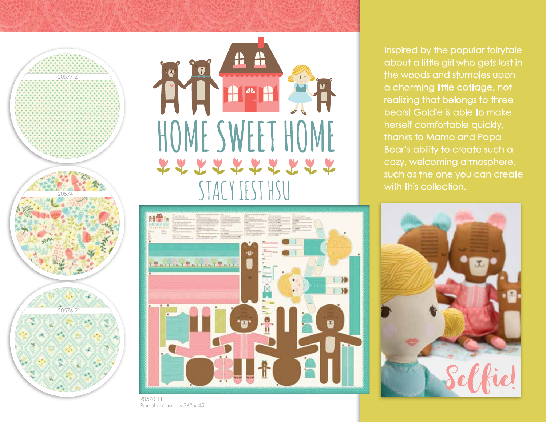



Inspired by the popular fairytale about a little girl who gets lost in the woods and stumbles upon a charming little cottage, not realizing that belongs to three bears! Goldie is able to make herself comfortable quickly, thanks to Mama and Papa Bear's ability to create such a cozy, welcoming atmosphere, such as the one you can create with this collection.



20570 11Panel measures 36" x 45"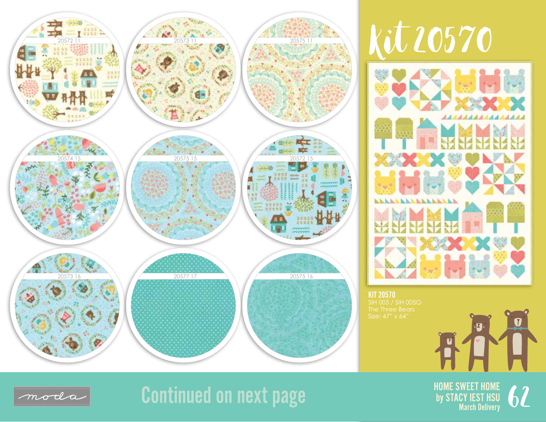

## Kit 20570

![](_page_1_Picture_2.jpeg)

KIT 20570

![](_page_1_Picture_4.jpeg)

## **Continued on next page**

**HOME SWEET HOME** by STACY IEST HSU h **March Delivery** 

 $\cdot$   $\overline{u}$  .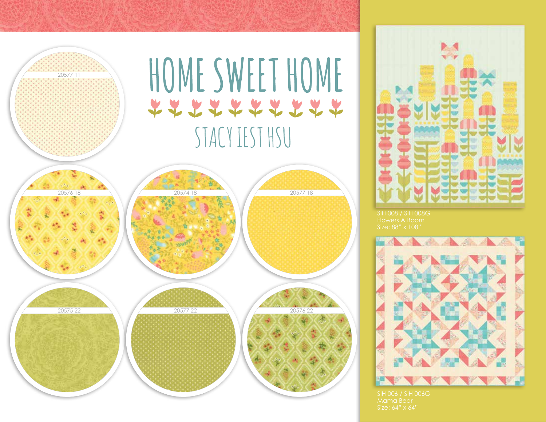![](_page_2_Figure_0.jpeg)

![](_page_2_Picture_1.jpeg)

Size: 88" x 108"

![](_page_2_Picture_3.jpeg)

Mama BearSize: 64" x 64"